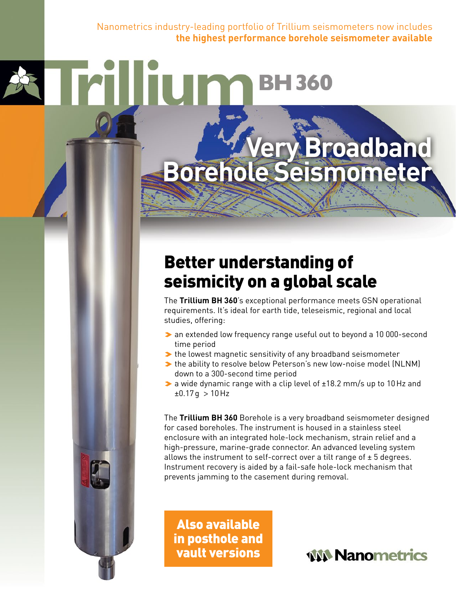Nanometrics industry-leading portfolio of Trillium seismometers now includes **the highest performance borehole seismometer available**

# **Very Broadband Borehole Seismometer**

**BH360** 

## Better understanding of seismicity on a global scale

The **Trillium BH 360**'s exceptional performance meets GSN operational requirements. It's ideal for earth tide, teleseismic, regional and local studies, offering:

- > an extended low frequency range useful out to beyond a 10 000-second time period
- $\blacktriangleright$  the lowest magnetic sensitivity of any broadband seismometer
- >the ability to resolve below Peterson's new low-noise model (NLNM) down to a 300-second time period
- $\triangleright$  a wide dynamic range with a clip level of  $\pm$ 18.2 mm/s up to 10 Hz and  $±0.17$ g > 10 Hz

The **Trillium BH 360** Borehole is a very broadband seismometer designed for cased boreholes. The instrument is housed in a stainless steel enclosure with an integrated hole-lock mechanism, strain relief and a high-pressure, marine-grade connector. An advanced leveling system allows the instrument to self-correct over a tilt range of  $\pm$  5 degrees. Instrument recovery is aided by a fail-safe hole-lock mechanism that prevents jamming to the casement during removal.

Also available in posthole and vault versions

**WA Nanometrics**